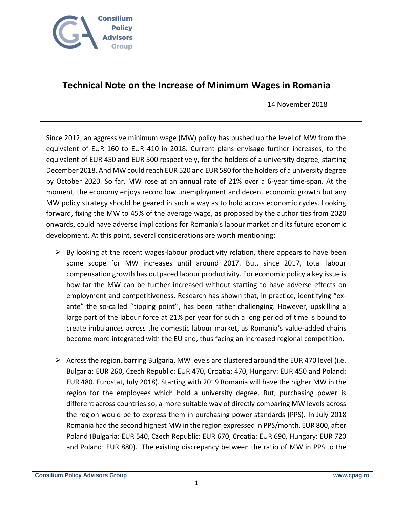

## **Technical Note on the Increase of Minimum Wages in Romania**

14 November 2018

Since 2012, an aggressive minimum wage (MW) policy has pushed up the level of MW from the equivalent of EUR 160 to EUR 410 in 2018. Current plans envisage further increases, to the equivalent of EUR 450 and EUR 500 respectively, for the holders of a university degree, starting December 2018. And MW could reach EUR 520 and EUR 580 for the holders of a university degree by October 2020. So far, MW rose at an annual rate of 21% over a 6-year time-span. At the moment, the economy enjoys record low unemployment and decent economic growth but any MW policy strategy should be geared in such a way as to hold across economic cycles. Looking forward, fixing the MW to 45% of the average wage, as proposed by the authorities from 2020 onwards, could have adverse implications for Romania's labour market and its future economic development. At this point, several considerations are worth mentioning:

- $\triangleright$  By looking at the recent wages-labour productivity relation, there appears to have been some scope for MW increases until around 2017. But, since 2017, total labour compensation growth has outpaced labour productivity. For economic policy a key issue is how far the MW can be further increased without starting to have adverse effects on employment and competitiveness. Research has shown that, in practice, identifying "exante" the so-called ''tipping point'', has been rather challenging. However, upskilling a large part of the labour force at 21% per year for such a long period of time is bound to create imbalances across the domestic labour market, as Romania's value-added chains become more integrated with the EU and, thus facing an increased regional competition.
- $\triangleright$  Across the region, barring Bulgaria, MW levels are clustered around the EUR 470 level (i.e. Bulgaria: EUR 260, Czech Republic: EUR 470, Croatia: 470, Hungary: EUR 450 and Poland: EUR 480. Eurostat, July 2018). Starting with 2019 Romania will have the higher MW in the region for the employees which hold a university degree. But, purchasing power is different across countries so, a more suitable way of directly comparing MW levels across the region would be to express them in purchasing power standards (PPS). In July 2018 Romania had the second highest MW in the region expressed in PPS/month, EUR 800, after Poland (Bulgaria: EUR 540, Czech Republic: EUR 670, Croatia: EUR 690, Hungary: EUR 720 and Poland: EUR 880). The existing discrepancy between the ratio of MW in PPS to the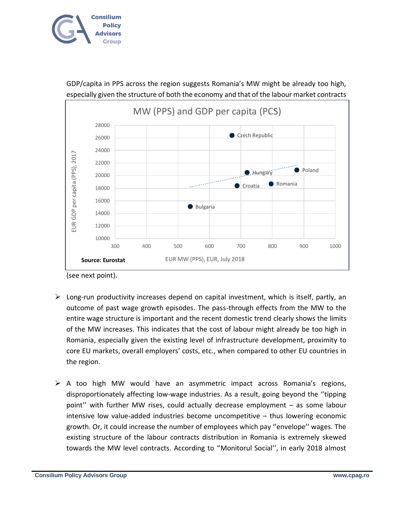

MW (PPS) and GDP per capita (PCS) 28000 Czech Republic 26000 24000 EUR GDP per capita (PPS), 2017 EUR GDP per capita (PPS), 2017 22000  $\bullet$  Hungary  $\bullet$  Poland 20000 Romania Croatia 18000 16000 Bulgaria 14000 12000 10000 300 400 500 600 700 800 900 1000 EUR MW (PPS), EUR, July 2018 **Source: Eurostat** 

GDP/capita in PPS across the region suggests Romania's MW might be already too high, especially given the structure of both the economy and that of the labour market contracts

(see next point).

- $\triangleright$  Long-run productivity increases depend on capital investment, which is itself, partly, an outcome of past wage growth episodes. The pass-through effects from the MW to the entire wage structure is important and the recent domestic trend clearly shows the limits of the MW increases. This indicates that the cost of labour might already be too high in Romania, especially given the existing level of infrastructure development, proximity to core EU markets, overall employers' costs, etc., when compared to other EU countries in the region.
- $\triangleright$  A too high MW would have an asymmetric impact across Romania's regions, disproportionately affecting low-wage industries. As a result, going beyond the ''tipping point'' with further MW rises, could actually decrease employment – as some labour intensive low value-added industries become uncompetitive – thus lowering economic growth. Or, it could increase the number of employees which pay ''envelope'' wages. The existing structure of the labour contracts distribution in Romania is extremely skewed towards the MW level contracts. According to ''Monitorul Social'', in early 2018 almost